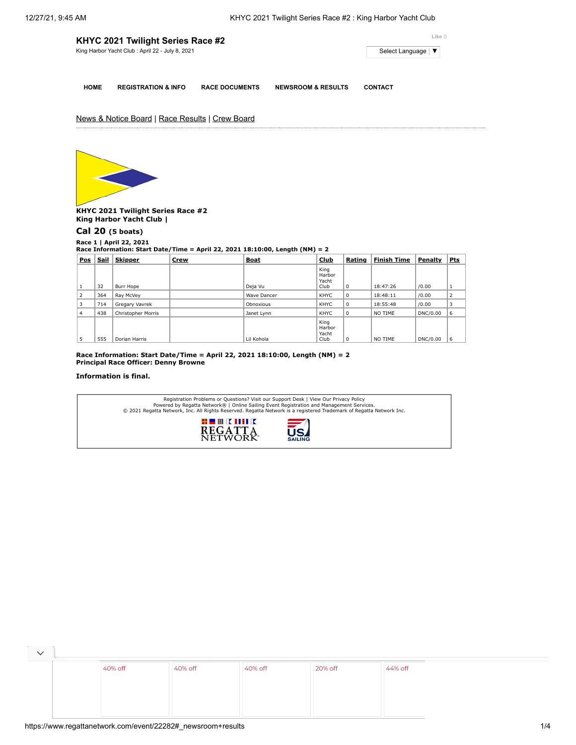| KHYC 2021 Twilight Series Race #2 | Like 0                                          |                       |                               |                     |
|-----------------------------------|-------------------------------------------------|-----------------------|-------------------------------|---------------------|
|                                   | King Harbor Yacht Club: April 22 - July 8, 2021 |                       |                               | Select Language   ▼ |
|                                   |                                                 |                       |                               |                     |
| <b>HOME</b>                       | <b>REGISTRATION &amp; INFO</b>                  | <b>RACE DOCUMENTS</b> | <b>NEWSROOM &amp; RESULTS</b> | <b>CONTACT</b>      |

## News & Notice Board | Race Results | Crew Board



**KHYC 2021 Twilight Series Race #2 King Harbor Yacht Club |**

## **[Cal 20](https://www.regattanetwork.com/clubmgmt/applet_race_scores.php?regatta_id=22282&race_num=1&fleet=Cal+20&show_crew=1) (5 boats)**

**Race 1 | April 22, 2021 Race Information: Start Date/Time = April 22, 2021 18:10:00, Length (NM) = 2**

| Pos | Sail | <b>Skipper</b>     | <b>Crew</b> | <b>Boat</b> | Club                            | Rating      | <b>Finish Time</b> | Penalty  | <u>Pts</u> |
|-----|------|--------------------|-------------|-------------|---------------------------------|-------------|--------------------|----------|------------|
|     | 32   | Burr Hope          |             | Deja Vu     | King<br>Harbor<br>Yacht<br>Club | 0           | 18:47:26           | /0.00    |            |
| 2   | 364  | Ray McVey          |             | Wave Dancer | KHYC                            | 0           | 18:48:11           | /0.00    | 2          |
| 3   | 714  | Gregary Vavrek     |             | Obnoxious   | KHYC                            | $\mathbf 0$ | 18:55:48           | /0.00    | 3          |
| 4   | 438  | Christopher Morris |             | Janet Lynn  | KHYC                            | 0           | NO TIME            | DNC/0.00 | 6          |
| 5   | 555  | Dorian Harris      |             | Lil Kohola  | King<br>Harbor<br>Yacht<br>Club | 0           | NO TIME            | DNC/0.00 | 6          |

**Race Information: Start Date/Time = April 22, 2021 18:10:00, Length (NM) = 2 Principal Race Officer: Denny Browne**

## **Information is final.**

|                                                     | Registration Problems or Questions? Visit our Support Desk   View Our Privacy Policy<br>Powered by Regatta Network®   Online Sailing Event Registration and Management Services.<br>© 2021 Regatta Network, Inc. All Rights Reserved. Regatta Network is a registered Trademark of Regatta Network Inc. |
|-----------------------------------------------------|---------------------------------------------------------------------------------------------------------------------------------------------------------------------------------------------------------------------------------------------------------------------------------------------------------|
| HE WRITIN<br><b>REGATTA</b><br>NETWORK <sup>*</sup> | $\overline{5}$<br><b>SAILING</b>                                                                                                                                                                                                                                                                        |

| 40% off | 40% off | 40% off | 20% off | 44% off |
|---------|---------|---------|---------|---------|
|         |         |         |         |         |
|         |         |         |         |         |
|         |         |         |         |         |
|         |         |         |         |         |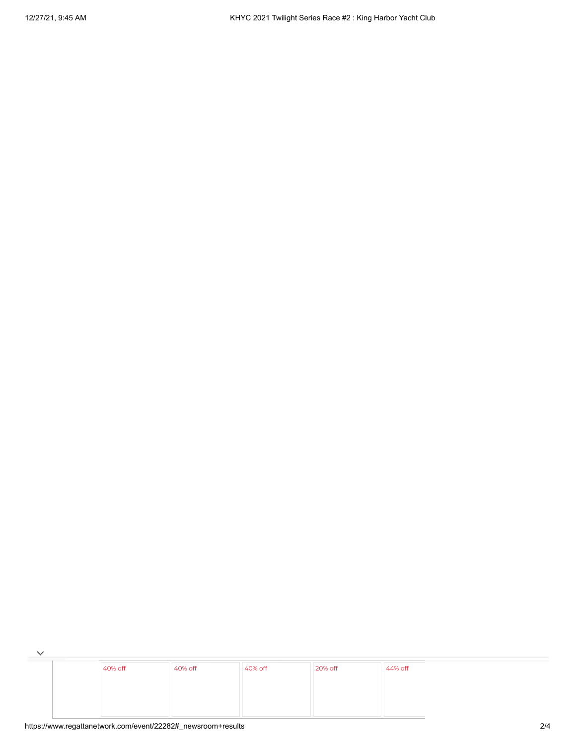$\overline{\phantom{a}}$ [40%](https://cat.da.us.criteo.com/m/delivery/ck.php?cppv=3&cpp=13TaKGWTjr7ZF-bDfSo5VYW6s6Dt5CGyGy0Gvnz_pR3NPOpLOPYduSsEzQd9PpdnK_MlKpkOInCkEnXcS93qjmyEA7ktoJHMAnEiXbyQMP_iby_0FAwL8yy1JIqgpY32KK7oZ1aPO4pCtzffC4iFoJ54WWpizTtwWYcNkOfd_cLyOStlN-0HQ7hncvfoVLQS9t0rtafC-_R-OWemkWhFlK2ce5NekbntiTWUV75LyVa69eruC9pDllJtdKZ3IjywPs_iw8H-vbtcVtiMvnHfj0TedKAe0LXNaXgReVZkYvcT8YzMzStqnkr65H__9ISnXloQgEf6oqgmV5jSp2w8T-CHey4Fs_7kkXruCr8Gbguf0kCxofz1ln2HDXfjthe4kJtGPDtgiztXQ2NdPHx7tr10hZ76ihpHKbkmMKs9-NCcdl7XnQXi9QU8qnGGGSYSDr-tFaga_B6SCp2n09SVC0fykEN1LOcLPaqHjJ93sYqQCdvvd8OawVA3J19p52kH3X4_7w&maxdest=https%3A%2F%2Fwww.jcpenney.com%2Fp%2Fstudio-1-sleeveless-fit-flare-dress%2Fppr5008128171%3FpTmplType%3Dregular%26utm_source%3Dcriteo%26utm_medium%3Ddisplay%26utm_campaign%3Dallusers%26utm_content%3DWomens-Apparel%26cid%3Ddisplay%7Ccriteo%7CWomens-Apparel%7Cstoregeo) off [40%](https://cat.da.us.criteo.com/m/delivery/ck.php?cppv=3&cpp=yaH4EGWTjr7ZF-bDfSo5VYW6s6Dt5CGyGy0Gvnz_pR3NPOpLOPYduSsEzQd9PpdnK_MlKpkOInCkEnXcS93qjmyEA7ktoJHMAnEiXbyQMP_iby_0FAwL8yy1JIqgpY32KK7oZ1aPO4pCtzffC4iFoJ54WWrXcw7lDGxDccXfg2-MlSgrUcueVah8D4v4WCjkEKUFbpJq0UjRAGrSndRC6yNRUskHUJHFPkITaz2d95XBiSIA7sgKxqlOI5udy4hv_5Le0cuZpEKXrG_rY7jdnckgn6v5x7ZyKebLs7Lrc9Vptltqq4jVxHiIGZrkbnxohHg_sLJ_sWR8wmgXtgRNZEoQ_7jSo7Tjzziacjay5kRUrvOO-EdK5PkzG3HfyEuQubwMKgYhEUXsyaibSGtfxaBMAdBP0JSk1qazRE0XdMuXcO3UJdJZ0hVBTJaOq7fMChzeuxA4FEeVNdexxFRtHTXMttGEbVvPZl0ktezPBg-MPNvKwMQnYBVc1QQBVdjukjoWcA&maxdest=https%3A%2F%2Fwww.jcpenney.com%2Fp%2Flondon-times-sleeveless-neck-tie-midi-maxi-dress%2Fppr5008128030%3FpTmplType%3Dregular%26utm_source%3Dcriteo%26utm_medium%3Ddisplay%26utm_campaign%3Dallusers%26utm_content%3DWomens-Apparel%26cid%3Ddisplay%7Ccriteo%7CWomens-Apparel%7Cstoregeo) off [40%](https://cat.da.us.criteo.com/m/delivery/ck.php?cppv=3&cpp=ImZnS2WTjr7ZF-bDfSo5VYW6s6Dt5CGyGy0Gvnz_pR3NPOpLOPYduSsEzQd9PpdnK_MlKpkOInCkEnXcS93qjmyEA7ktoJHMAnEiXbyQMP_iby_0FAwL8yy1JIqgpY32KK7oZ1aPO4pCtzffC4iFoJ54WWpizTtwWYcNkOfd_cLyOStlgy4CNpO8aCKx1egB60bldRieHigMDx1Vxmy83bdiwoH4vqnmopiEs_wm92rD3lK3I4Lh0gyufa09IXbSc-R9Xq5wVkuoBVQyBOKJZBf4rtoKtSGRLABuZHzfUFmBr71GrkeGaptL8LhWeG05cFwyjs_mxSFW5_a3ogLayLSiBN6u_zof-jZkO61R1exR7SPGgdwcTJBwcMP4sEGUmu6y_Xw-kfFij2v0Fd14AB9IcNIxo5JjLnLVasn1nAz1IdwIZlTdqfa36aksSX7rHL1AtzHsku3ljMUrlg2-aaYjfkOISVr07IE7yU_Zy4QXUjWH8ETJwmRUW5gGTToZLaZYRQ&maxdest=https%3A%2F%2Fwww.jcpenney.com%2Fp%2Fronni-nicole-long-sleeve-swing-dresses%2Fppr5008109855%3FpTmplType%3Dregular%26utm_source%3Dcriteo%26utm_medium%3Ddisplay%26utm_campaign%3Dallusers%26utm_content%3DWomens-Apparel%26cid%3Ddisplay%7Ccriteo%7CWomens-Apparel%7Cstoregeo) off [20%](https://cat.da.us.criteo.com/m/delivery/ck.php?cppv=3&cpp=0UWEV2WTjr7ZF-bDfSo5VYW6s6Dt5CGyGy0Gvnz_pR3NPOpLOPYduSsEzQd9PpdnK_MlKpkOInCkEnXcS93qjmyEA7ktoJHMAnEiXbyQMP_iby_0FAwL8yy1JIqgpY32KK7oZ1aPO4pCtzffC4iFoJ54WWrXcw7lDGxDccXfg2-MlSgr9_jd_LyIRp8Vgs3qJPnaLUHmp23nY5PUXicOdXtKW_7SG2b8UjP2LCjcFEw2aA-55tABjRcSYRZHLcoWpibGaa2U9w1121qSZavRnQqs0Lorw9Q4TOa_EtDwzwn8dAr_Dnb-YOQaC33qSDh1wGQvWJY3RpYl5eK8P4FxH3DqcjpEFLdClFfeC1CKqKXI9is7sXBM6tT-VGEOjyzfnOlwwhtdlbM1aaB5h7DnAI6pI4ggk_Z4rcwb6zvgPyZErP6i37kjqmNCRgawfcwJ94EiG2TYCuZUtPO-k_FOSGIkmAyyS0u5fuUEnb--XN8-3lOwwqRdT8O36nZTJjWzVov4Jg&maxdest=https%3A%2F%2Fwww.jcpenney.com%2Fp%2F24-7-comfort-apparel-long-sleeve-a-line-dress-maternity%2Fppr5008059282%3FpTmplType%3Dregular%26utm_source%3Dcriteo%26utm_medium%3Ddisplay%26utm_campaign%3Dallusers%26utm_content%3DWomens-Apparel%26cid%3Ddisplay%7Ccriteo%7CWomens-Apparel%7Cstoregeo) off [44%](https://cat.da.us.criteo.com/m/delivery/ck.php?cppv=3&cpp=7trce2WTjr7ZF-bDfSo5VYW6s6Dt5CGyGy0Gvnz_pR3NPOpLOPYduSsEzQd9PpdnK_MlKpkOInCkEnXcS93qjmyEA7ktoJHMAnEiXbyQMP_iby_0FAwL8yy1JIqgpY32KK7oZ1aPO4pCtzffC4iFoJ54WWpizTtwWYcNkOfd_cLyOStloFbg84S9g4M7exDxQ9CPsEikv4XVh6JO2mzBDkKUDRAIqNGdUjbmA29eUe_z5eCwkhlJTVLd-se63VBzEbLN04kjG13kUipdKjfZ_C65joZ0WapqLAvZuv-q3Jt5Uk7Pv8Sh8LqrLpmRJeYoH4PeM34U1S57FZ90fqch15cuW9lHKTzallqG6PEauvZpulzbTtVsI53KNR-P2PznLnXGo8U7kTP1PZvtXAYBlOGKarlRpo-K59LH84POiETiEKG3ZeRStlYKaAx_NBoMMyYncReYJjbMRfQjCmT1gEz0YYJ7xWvQaL2nZePc96ggX4t-jVA3FVPM4T4xEcF-IiBBVA&maxdest=https%3A%2F%2Fwww.jcpenney.com%2Fp%2Fryegrass-long-sleeve-party-dress%2Fppr5008122327%3FpTmplType%3Dregular%26utm_source%3Dcriteo%26utm_medium%3Ddisplay%26utm_campaign%3Dallusers%26utm_content%3DWomens-Apparel%26cid%3Ddisplay%7Ccriteo%7CWomens-Apparel%7Cstoregeo) off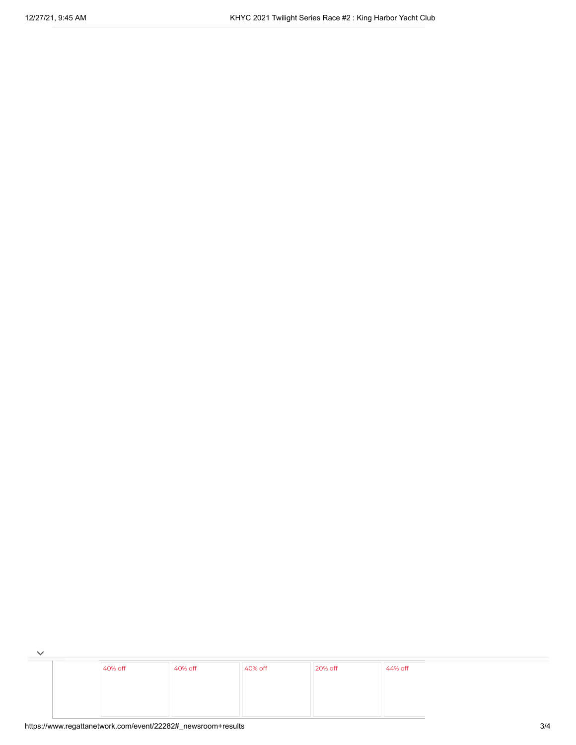$\overline{\phantom{a}}$ [40%](https://cat.da.us.criteo.com/m/delivery/ck.php?cppv=3&cpp=13TaKGWTjr7ZF-bDfSo5VYW6s6Dt5CGyGy0Gvnz_pR3NPOpLOPYduSsEzQd9PpdnK_MlKpkOInCkEnXcS93qjmyEA7ktoJHMAnEiXbyQMP_iby_0FAwL8yy1JIqgpY32KK7oZ1aPO4pCtzffC4iFoJ54WWpizTtwWYcNkOfd_cLyOStlN-0HQ7hncvfoVLQS9t0rtafC-_R-OWemkWhFlK2ce5NekbntiTWUV75LyVa69eruC9pDllJtdKZ3IjywPs_iw8H-vbtcVtiMvnHfj0TedKAe0LXNaXgReVZkYvcT8YzMzStqnkr65H__9ISnXloQgEf6oqgmV5jSp2w8T-CHey4Fs_7kkXruCr8Gbguf0kCxofz1ln2HDXfjthe4kJtGPDtgiztXQ2NdPHx7tr10hZ76ihpHKbkmMKs9-NCcdl7XnQXi9QU8qnGGGSYSDr-tFaga_B6SCp2n09SVC0fykEN1LOcLPaqHjJ93sYqQCdvvd8OawVA3J19p52kH3X4_7w&maxdest=https%3A%2F%2Fwww.jcpenney.com%2Fp%2Fstudio-1-sleeveless-fit-flare-dress%2Fppr5008128171%3FpTmplType%3Dregular%26utm_source%3Dcriteo%26utm_medium%3Ddisplay%26utm_campaign%3Dallusers%26utm_content%3DWomens-Apparel%26cid%3Ddisplay%7Ccriteo%7CWomens-Apparel%7Cstoregeo) off [40%](https://cat.da.us.criteo.com/m/delivery/ck.php?cppv=3&cpp=yaH4EGWTjr7ZF-bDfSo5VYW6s6Dt5CGyGy0Gvnz_pR3NPOpLOPYduSsEzQd9PpdnK_MlKpkOInCkEnXcS93qjmyEA7ktoJHMAnEiXbyQMP_iby_0FAwL8yy1JIqgpY32KK7oZ1aPO4pCtzffC4iFoJ54WWrXcw7lDGxDccXfg2-MlSgrUcueVah8D4v4WCjkEKUFbpJq0UjRAGrSndRC6yNRUskHUJHFPkITaz2d95XBiSIA7sgKxqlOI5udy4hv_5Le0cuZpEKXrG_rY7jdnckgn6v5x7ZyKebLs7Lrc9Vptltqq4jVxHiIGZrkbnxohHg_sLJ_sWR8wmgXtgRNZEoQ_7jSo7Tjzziacjay5kRUrvOO-EdK5PkzG3HfyEuQubwMKgYhEUXsyaibSGtfxaBMAdBP0JSk1qazRE0XdMuXcO3UJdJZ0hVBTJaOq7fMChzeuxA4FEeVNdexxFRtHTXMttGEbVvPZl0ktezPBg-MPNvKwMQnYBVc1QQBVdjukjoWcA&maxdest=https%3A%2F%2Fwww.jcpenney.com%2Fp%2Flondon-times-sleeveless-neck-tie-midi-maxi-dress%2Fppr5008128030%3FpTmplType%3Dregular%26utm_source%3Dcriteo%26utm_medium%3Ddisplay%26utm_campaign%3Dallusers%26utm_content%3DWomens-Apparel%26cid%3Ddisplay%7Ccriteo%7CWomens-Apparel%7Cstoregeo) off [40%](https://cat.da.us.criteo.com/m/delivery/ck.php?cppv=3&cpp=ImZnS2WTjr7ZF-bDfSo5VYW6s6Dt5CGyGy0Gvnz_pR3NPOpLOPYduSsEzQd9PpdnK_MlKpkOInCkEnXcS93qjmyEA7ktoJHMAnEiXbyQMP_iby_0FAwL8yy1JIqgpY32KK7oZ1aPO4pCtzffC4iFoJ54WWpizTtwWYcNkOfd_cLyOStlgy4CNpO8aCKx1egB60bldRieHigMDx1Vxmy83bdiwoH4vqnmopiEs_wm92rD3lK3I4Lh0gyufa09IXbSc-R9Xq5wVkuoBVQyBOKJZBf4rtoKtSGRLABuZHzfUFmBr71GrkeGaptL8LhWeG05cFwyjs_mxSFW5_a3ogLayLSiBN6u_zof-jZkO61R1exR7SPGgdwcTJBwcMP4sEGUmu6y_Xw-kfFij2v0Fd14AB9IcNIxo5JjLnLVasn1nAz1IdwIZlTdqfa36aksSX7rHL1AtzHsku3ljMUrlg2-aaYjfkOISVr07IE7yU_Zy4QXUjWH8ETJwmRUW5gGTToZLaZYRQ&maxdest=https%3A%2F%2Fwww.jcpenney.com%2Fp%2Fronni-nicole-long-sleeve-swing-dresses%2Fppr5008109855%3FpTmplType%3Dregular%26utm_source%3Dcriteo%26utm_medium%3Ddisplay%26utm_campaign%3Dallusers%26utm_content%3DWomens-Apparel%26cid%3Ddisplay%7Ccriteo%7CWomens-Apparel%7Cstoregeo) off [20%](https://cat.da.us.criteo.com/m/delivery/ck.php?cppv=3&cpp=0UWEV2WTjr7ZF-bDfSo5VYW6s6Dt5CGyGy0Gvnz_pR3NPOpLOPYduSsEzQd9PpdnK_MlKpkOInCkEnXcS93qjmyEA7ktoJHMAnEiXbyQMP_iby_0FAwL8yy1JIqgpY32KK7oZ1aPO4pCtzffC4iFoJ54WWrXcw7lDGxDccXfg2-MlSgr9_jd_LyIRp8Vgs3qJPnaLUHmp23nY5PUXicOdXtKW_7SG2b8UjP2LCjcFEw2aA-55tABjRcSYRZHLcoWpibGaa2U9w1121qSZavRnQqs0Lorw9Q4TOa_EtDwzwn8dAr_Dnb-YOQaC33qSDh1wGQvWJY3RpYl5eK8P4FxH3DqcjpEFLdClFfeC1CKqKXI9is7sXBM6tT-VGEOjyzfnOlwwhtdlbM1aaB5h7DnAI6pI4ggk_Z4rcwb6zvgPyZErP6i37kjqmNCRgawfcwJ94EiG2TYCuZUtPO-k_FOSGIkmAyyS0u5fuUEnb--XN8-3lOwwqRdT8O36nZTJjWzVov4Jg&maxdest=https%3A%2F%2Fwww.jcpenney.com%2Fp%2F24-7-comfort-apparel-long-sleeve-a-line-dress-maternity%2Fppr5008059282%3FpTmplType%3Dregular%26utm_source%3Dcriteo%26utm_medium%3Ddisplay%26utm_campaign%3Dallusers%26utm_content%3DWomens-Apparel%26cid%3Ddisplay%7Ccriteo%7CWomens-Apparel%7Cstoregeo) off [44%](https://cat.da.us.criteo.com/m/delivery/ck.php?cppv=3&cpp=7trce2WTjr7ZF-bDfSo5VYW6s6Dt5CGyGy0Gvnz_pR3NPOpLOPYduSsEzQd9PpdnK_MlKpkOInCkEnXcS93qjmyEA7ktoJHMAnEiXbyQMP_iby_0FAwL8yy1JIqgpY32KK7oZ1aPO4pCtzffC4iFoJ54WWpizTtwWYcNkOfd_cLyOStloFbg84S9g4M7exDxQ9CPsEikv4XVh6JO2mzBDkKUDRAIqNGdUjbmA29eUe_z5eCwkhlJTVLd-se63VBzEbLN04kjG13kUipdKjfZ_C65joZ0WapqLAvZuv-q3Jt5Uk7Pv8Sh8LqrLpmRJeYoH4PeM34U1S57FZ90fqch15cuW9lHKTzallqG6PEauvZpulzbTtVsI53KNR-P2PznLnXGo8U7kTP1PZvtXAYBlOGKarlRpo-K59LH84POiETiEKG3ZeRStlYKaAx_NBoMMyYncReYJjbMRfQjCmT1gEz0YYJ7xWvQaL2nZePc96ggX4t-jVA3FVPM4T4xEcF-IiBBVA&maxdest=https%3A%2F%2Fwww.jcpenney.com%2Fp%2Fryegrass-long-sleeve-party-dress%2Fppr5008122327%3FpTmplType%3Dregular%26utm_source%3Dcriteo%26utm_medium%3Ddisplay%26utm_campaign%3Dallusers%26utm_content%3DWomens-Apparel%26cid%3Ddisplay%7Ccriteo%7CWomens-Apparel%7Cstoregeo) off